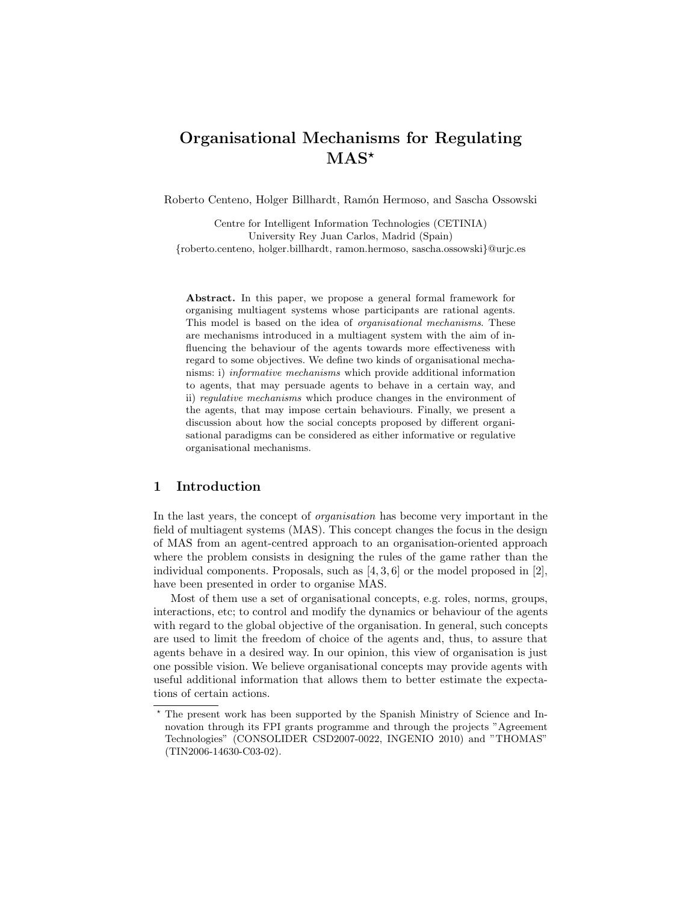# Organisational Mechanisms for Regulating  $\rm{MAS}^{\star}$

Roberto Centeno, Holger Billhardt, Ramón Hermoso, and Sascha Ossowski

Centre for Intelligent Information Technologies (CETINIA) University Rey Juan Carlos, Madrid (Spain) {roberto.centeno, holger.billhardt, ramon.hermoso, sascha.ossowski}@urjc.es

Abstract. In this paper, we propose a general formal framework for organising multiagent systems whose participants are rational agents. This model is based on the idea of organisational mechanisms. These are mechanisms introduced in a multiagent system with the aim of influencing the behaviour of the agents towards more effectiveness with regard to some objectives. We define two kinds of organisational mechanisms: i) informative mechanisms which provide additional information to agents, that may persuade agents to behave in a certain way, and ii) regulative mechanisms which produce changes in the environment of the agents, that may impose certain behaviours. Finally, we present a discussion about how the social concepts proposed by different organisational paradigms can be considered as either informative or regulative organisational mechanisms.

## 1 Introduction

In the last years, the concept of organisation has become very important in the field of multiagent systems (MAS). This concept changes the focus in the design of MAS from an agent-centred approach to an organisation-oriented approach where the problem consists in designing the rules of the game rather than the individual components. Proposals, such as  $[4, 3, 6]$  or the model proposed in [2], have been presented in order to organise MAS.

Most of them use a set of organisational concepts, e.g. roles, norms, groups, interactions, etc; to control and modify the dynamics or behaviour of the agents with regard to the global objective of the organisation. In general, such concepts are used to limit the freedom of choice of the agents and, thus, to assure that agents behave in a desired way. In our opinion, this view of organisation is just one possible vision. We believe organisational concepts may provide agents with useful additional information that allows them to better estimate the expectations of certain actions.

<sup>?</sup> The present work has been supported by the Spanish Ministry of Science and Innovation through its FPI grants programme and through the projects "Agreement Technologies" (CONSOLIDER CSD2007-0022, INGENIO 2010) and "THOMAS" (TIN2006-14630-C03-02).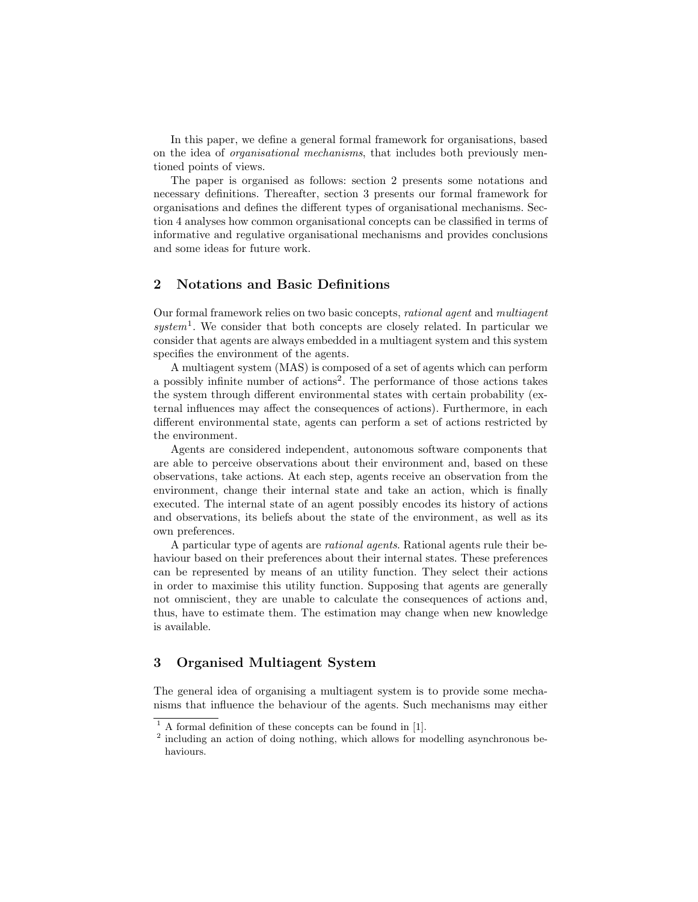In this paper, we define a general formal framework for organisations, based on the idea of organisational mechanisms, that includes both previously mentioned points of views.

The paper is organised as follows: section 2 presents some notations and necessary definitions. Thereafter, section 3 presents our formal framework for organisations and defines the different types of organisational mechanisms. Section 4 analyses how common organisational concepts can be classified in terms of informative and regulative organisational mechanisms and provides conclusions and some ideas for future work.

## 2 Notations and Basic Definitions

Our formal framework relies on two basic concepts, rational agent and multiagent  $system<sup>1</sup>$ . We consider that both concepts are closely related. In particular we consider that agents are always embedded in a multiagent system and this system specifies the environment of the agents.

A multiagent system (MAS) is composed of a set of agents which can perform a possibly infinite number of actions<sup>2</sup>. The performance of those actions takes the system through different environmental states with certain probability (external influences may affect the consequences of actions). Furthermore, in each different environmental state, agents can perform a set of actions restricted by the environment.

Agents are considered independent, autonomous software components that are able to perceive observations about their environment and, based on these observations, take actions. At each step, agents receive an observation from the environment, change their internal state and take an action, which is finally executed. The internal state of an agent possibly encodes its history of actions and observations, its beliefs about the state of the environment, as well as its own preferences.

A particular type of agents are rational agents. Rational agents rule their behaviour based on their preferences about their internal states. These preferences can be represented by means of an utility function. They select their actions in order to maximise this utility function. Supposing that agents are generally not omniscient, they are unable to calculate the consequences of actions and, thus, have to estimate them. The estimation may change when new knowledge is available.

## 3 Organised Multiagent System

The general idea of organising a multiagent system is to provide some mechanisms that influence the behaviour of the agents. Such mechanisms may either

 $<sup>1</sup>$  A formal definition of these concepts can be found in [1].</sup>

<sup>&</sup>lt;sup>2</sup> including an action of doing nothing, which allows for modelling asynchronous behaviours.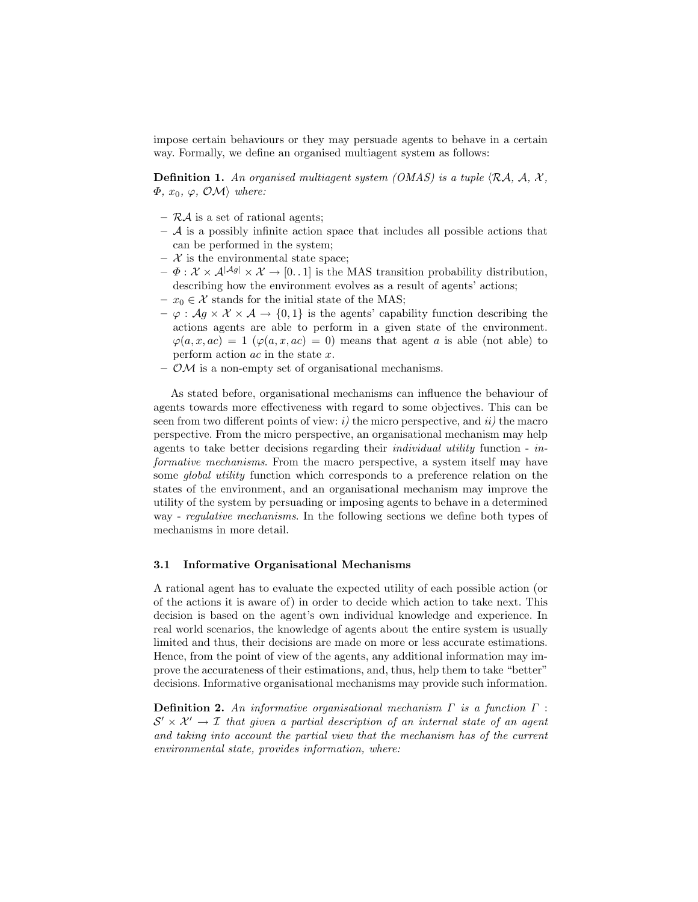impose certain behaviours or they may persuade agents to behave in a certain way. Formally, we define an organised multiagent system as follows:

**Definition 1.** An organised multiagent system (OMAS) is a tuple  $\langle RA, \mathcal{A}, \mathcal{X}, \mathcal{X} \rangle$  $\Phi, x_0, \varphi, \mathcal{OM}$  where:

- $-$  RA is a set of rational agents;
- $-$  A is a possibly infinite action space that includes all possible actions that can be performed in the system;
- $-$  X is the environmental state space;
- $-\Phi: \mathcal{X} \times \mathcal{A}^{|\mathcal{A}g|} \times \mathcal{X} \to [0, 1]$  is the MAS transition probability distribution, describing how the environment evolves as a result of agents' actions;
- $x_0 \in \mathcal{X}$  stands for the initial state of the MAS;
- $-\varphi : Ag \times \mathcal{X} \times \mathcal{A} \rightarrow \{0,1\}$  is the agents' capability function describing the actions agents are able to perform in a given state of the environment.  $\varphi(a, x, ac) = 1$   $(\varphi(a, x, ac) = 0)$  means that agent a is able (not able) to perform action ac in the state x.
- $\mathcal{O}$ *M* is a non-empty set of organisational mechanisms.

As stated before, organisational mechanisms can influence the behaviour of agents towards more effectiveness with regard to some objectives. This can be seen from two different points of view:  $i$ ) the micro perspective, and  $ii$ ) the macro perspective. From the micro perspective, an organisational mechanism may help agents to take better decisions regarding their individual utility function - informative mechanisms. From the macro perspective, a system itself may have some *global utility* function which corresponds to a preference relation on the states of the environment, and an organisational mechanism may improve the utility of the system by persuading or imposing agents to behave in a determined way - regulative mechanisms. In the following sections we define both types of mechanisms in more detail.

#### 3.1 Informative Organisational Mechanisms

A rational agent has to evaluate the expected utility of each possible action (or of the actions it is aware of) in order to decide which action to take next. This decision is based on the agent's own individual knowledge and experience. In real world scenarios, the knowledge of agents about the entire system is usually limited and thus, their decisions are made on more or less accurate estimations. Hence, from the point of view of the agents, any additional information may improve the accurateness of their estimations, and, thus, help them to take "better" decisions. Informative organisational mechanisms may provide such information.

**Definition 2.** An informative organisational mechanism  $\Gamma$  is a function  $\Gamma$ :  $S' \times \mathcal{X}' \rightarrow \mathcal{I}$  that given a partial description of an internal state of an agent and taking into account the partial view that the mechanism has of the current environmental state, provides information, where: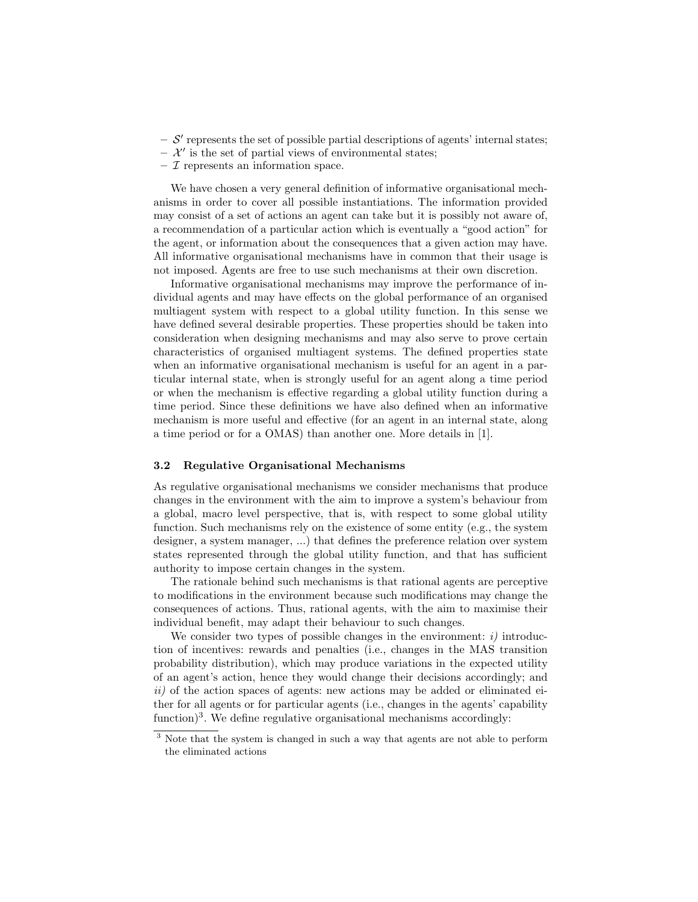- $S'$  represents the set of possible partial descriptions of agents' internal states;
- $\mathcal{X}'$  is the set of partial views of environmental states;
- $-$  *T* represents an information space.

We have chosen a very general definition of informative organisational mechanisms in order to cover all possible instantiations. The information provided may consist of a set of actions an agent can take but it is possibly not aware of, a recommendation of a particular action which is eventually a "good action" for the agent, or information about the consequences that a given action may have. All informative organisational mechanisms have in common that their usage is not imposed. Agents are free to use such mechanisms at their own discretion.

Informative organisational mechanisms may improve the performance of individual agents and may have effects on the global performance of an organised multiagent system with respect to a global utility function. In this sense we have defined several desirable properties. These properties should be taken into consideration when designing mechanisms and may also serve to prove certain characteristics of organised multiagent systems. The defined properties state when an informative organisational mechanism is useful for an agent in a particular internal state, when is strongly useful for an agent along a time period or when the mechanism is effective regarding a global utility function during a time period. Since these definitions we have also defined when an informative mechanism is more useful and effective (for an agent in an internal state, along a time period or for a OMAS) than another one. More details in [1].

#### 3.2 Regulative Organisational Mechanisms

As regulative organisational mechanisms we consider mechanisms that produce changes in the environment with the aim to improve a system's behaviour from a global, macro level perspective, that is, with respect to some global utility function. Such mechanisms rely on the existence of some entity (e.g., the system designer, a system manager, ...) that defines the preference relation over system states represented through the global utility function, and that has sufficient authority to impose certain changes in the system.

The rationale behind such mechanisms is that rational agents are perceptive to modifications in the environment because such modifications may change the consequences of actions. Thus, rational agents, with the aim to maximise their individual benefit, may adapt their behaviour to such changes.

We consider two types of possible changes in the environment:  $i)$  introduction of incentives: rewards and penalties (i.e., changes in the MAS transition probability distribution), which may produce variations in the expected utility of an agent's action, hence they would change their decisions accordingly; and  $ii)$  of the action spaces of agents: new actions may be added or eliminated either for all agents or for particular agents (i.e., changes in the agents' capability function)<sup>3</sup>. We define regulative organisational mechanisms accordingly:

<sup>&</sup>lt;sup>3</sup> Note that the system is changed in such a way that agents are not able to perform the eliminated actions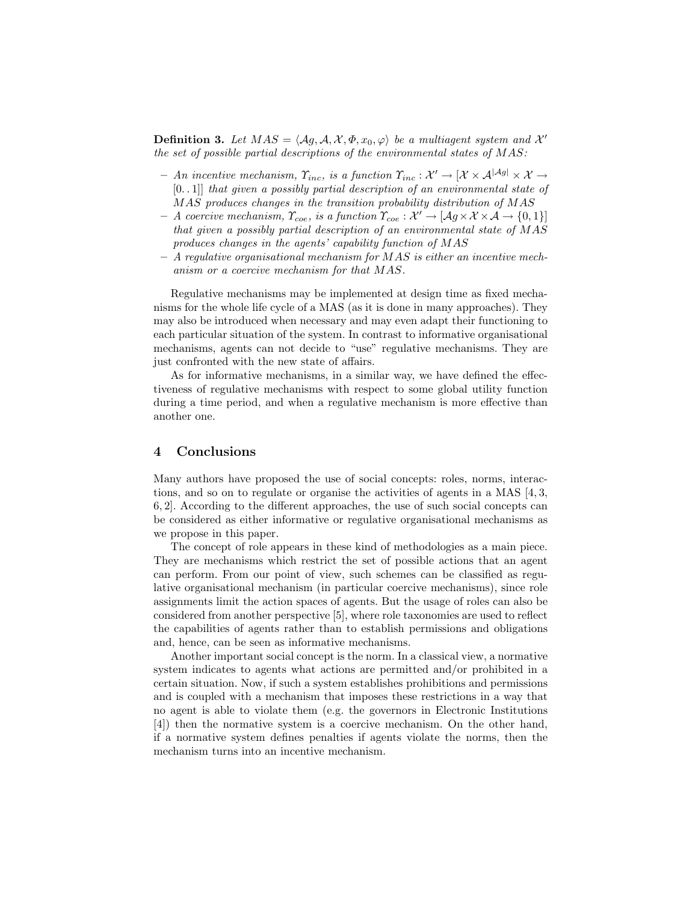**Definition 3.** Let  $MAS = \langle Ag, A, X, \Phi, x_0, \varphi \rangle$  be a multiagent system and X' the set of possible partial descriptions of the environmental states of MAS:

- $-$  An incentive mechanism,  $\Upsilon_{inc}$ , is a function  $\Upsilon_{inc} : \mathcal{X}' \to [\mathcal{X} \times \mathcal{A}^{|\mathcal{A}g|} \times \mathcal{X} \to \mathcal{A}^{|\mathcal{A}g|}$ [0. . 1]] that given a possibly partial description of an environmental state of MAS produces changes in the transition probability distribution of MAS
- $A$  coercive mechanism,  $\Upsilon_{\text{coef}}$ , is a function  $\Upsilon_{\text{coef}} : \mathcal{X}' \to [Ag \times \mathcal{X} \times \mathcal{A} \to \{0,1\}]$ that given a possibly partial description of an environmental state of MAS produces changes in the agents' capability function of MAS
- $-$  A regulative organisational mechanism for MAS is either an incentive mechanism or a coercive mechanism for that MAS.

Regulative mechanisms may be implemented at design time as fixed mechanisms for the whole life cycle of a MAS (as it is done in many approaches). They may also be introduced when necessary and may even adapt their functioning to each particular situation of the system. In contrast to informative organisational mechanisms, agents can not decide to "use" regulative mechanisms. They are just confronted with the new state of affairs.

As for informative mechanisms, in a similar way, we have defined the effectiveness of regulative mechanisms with respect to some global utility function during a time period, and when a regulative mechanism is more effective than another one.

### 4 Conclusions

Many authors have proposed the use of social concepts: roles, norms, interactions, and so on to regulate or organise the activities of agents in a MAS  $[4, 3, 4]$ 6, 2]. According to the different approaches, the use of such social concepts can be considered as either informative or regulative organisational mechanisms as we propose in this paper.

The concept of role appears in these kind of methodologies as a main piece. They are mechanisms which restrict the set of possible actions that an agent can perform. From our point of view, such schemes can be classified as regulative organisational mechanism (in particular coercive mechanisms), since role assignments limit the action spaces of agents. But the usage of roles can also be considered from another perspective [5], where role taxonomies are used to reflect the capabilities of agents rather than to establish permissions and obligations and, hence, can be seen as informative mechanisms.

Another important social concept is the norm. In a classical view, a normative system indicates to agents what actions are permitted and/or prohibited in a certain situation. Now, if such a system establishes prohibitions and permissions and is coupled with a mechanism that imposes these restrictions in a way that no agent is able to violate them (e.g. the governors in Electronic Institutions [4]) then the normative system is a coercive mechanism. On the other hand, if a normative system defines penalties if agents violate the norms, then the mechanism turns into an incentive mechanism.